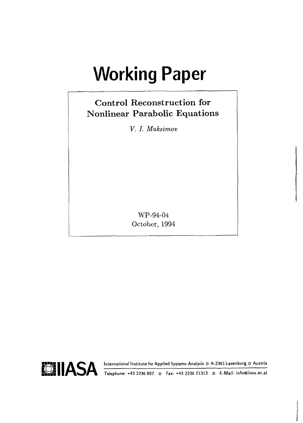# **Working Paper**

# **Control Reconstruction for Nonlinear Parabolic Equations**

*V. I. Maksimov* 

WP-94-04 October, 1994

International Institute for Applied Systems Analysis **D** A-2361 Laxenburg **D** Austria



**Telephone: +43 2236 807 o Fax: +43 2236 71313 o E-Mail: info@iiasa.ac.at**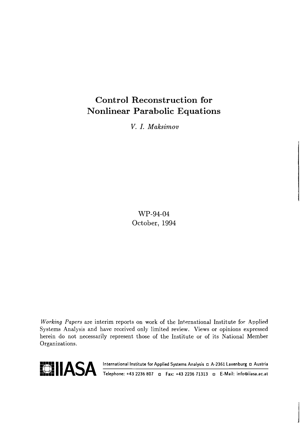# Control Reconstruction for Nonlinear Parabolic Equations

*V. I. Maksimov* 

WP-94-04 October, 1994

**Working** Papers are interim reports on work of the International Institute for Applied Systems Analysis and have received only limited review. Views or opinions expressed herein do not necessarily represent those of the Institute or of its National Member Organizations.



**international Institute for Applied Systems Analysis nd A-2361 Laxenburg nd Austria**<br>**In 13 Telephone: +43 2236 807 nd Fax: +43 2236 71313 nd E-Mail: info@iiasa.ac.at**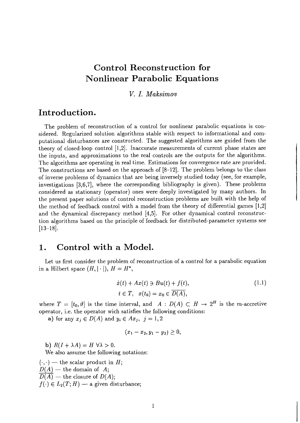# **Control Reconstruction for Nonlinear Parabolic Equations**

#### V. I. Maksimov

## **Introduction.**

The problem of reconstruction of a control for nonlinear parabolic equations is considered. Regularized solution algorithms stable with respect to informational and computational disturbances are constructed. The suggested algorithms are guided from the theory of closed-loop control [1,2]. Inaccurate measurements of current phase states are the inputs, and approximations to the real controls are the outputs for the algorithms. The algorithms are operating in real time. Estimations for convergence rate are provided. The constructions are based on the approach of  $[8-12]$ . The problem belongs to the class of inverse problems of dynamics that are being inversely studied today (see, for example, investigations [3,6,7], where the corresponding bibliography is given). These problems considered as stationary (operator) ones were deeply investigated by many authors. In the present paper solutions of control reconstruction problems are built with the help of the method of feedback control with a model from the theory of differential games [1,2] and the dynamical discrepancy method **[4,5].** For other dynamical control reconstruction algorithms based on the principle of feedback for distributed-parameter systems see  $[13-18]$ .

## **1. Control with a Model.**

Let us first consider the problem of reconstruction of a control for a parabolic equation in a Hilbert space  $(H, |\cdot|), H = H^*$ ,

$$
\begin{aligned} \dot{x}(t) + Ax(t) &\ni B u(t) + f(t), \\ t &\in T, \quad x(t_0) = x_0 \in \overline{D(A)}, \end{aligned} \tag{1.1}
$$

where  $T = [t_0, \vartheta]$  is the time interval, and  $A : D(A) \subset H \to 2^H$  is the *m*-accretive operator, i.e. the operator wich satisfies the following conditions:

**a**) for any  $x_i \in D(A)$  and  $y_i \in Ax_j$ ,  $j = 1,2$ 

$$
(x_1-x_2, y_1-y_2)\geq 0,
$$

b)  $R(I + \lambda A) = H \,\forall \lambda > 0.$ 

We also assume the following notations:

 $(\cdot, \cdot)$  - the scalar product in H;  $(\cdot, \cdot)$  — the scalar product in<br> $D(A)$  — the domain of A;

- $D(A)$  the scalar product in *F*<br> $D(A)$  the domain of *A*;<br> $\overline{D(A)}$  the closure of *D(A)*;
- 

 $\overline{D(A)}$  — the closure of  $D(A)$ ;<br>  $f(\cdot) \in L_2(T; H)$  — a given disturbance;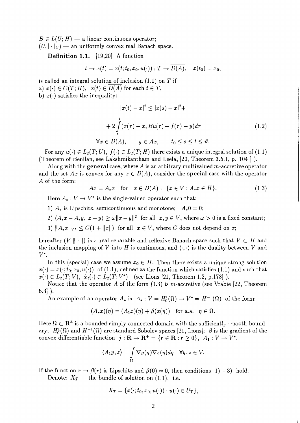$B \in L(U; H)$  — a linear continuous operator;  $(U, |\cdot|_U)$  — an uniformly convex real Banach space.

**Definition 1.1.** [19,20] A function

$$
t\to x(t)=x(t;t_0,x_0,u(\cdot)):T\to \overline{D(A)},\quad x(t_0)=x_0,
$$

is called an integral solution of inclusion  $(1.1)$  on T if a)  $x(\cdot) \in C(T; H)$ ,  $x(t) \in D(A)$  for each  $t \in T$ , b)  $x(\cdot)$  satisfies the inequality:

$$
|x(t) - x|^2 \le |x(s) - x|^2 +
$$
  
+ 
$$
2 \int_{s}^{t} (x(\tau) - x, Bu(\tau) + f(\tau) - y) d\tau
$$
  

$$
\forall x \in D(A), \quad y \in Ax, \quad t_0 \le s \le t \le \vartheta.
$$
 (1.2)

For any  $u(\cdot) \in L_2(T; U)$ ,  $f(\cdot) \in L_2(T; H)$  there exists a unique integral solution of (1.1) (Theorem of Benilan, see Lakshmikantham and Leela, [20, Theorem 3.5.1, p. 104 ] ).

Along with the **general** case, where A is an arbitrary multivalued m-accretive operator and the set Ax is convex for any  $x \in D(A)$ , consider the **special** case with the operator A of the form:

$$
Ax = A_*x
$$
 for  $x \in D(A) = \{x \in V : A_*x \in H\}.$  (1.3)

Here  $A_* : V \to V^*$  is the single-valued operator such that:

1)  $A_*$  is Lipschitz, semicontinuous and monotone;  $A_*0 = 0$ ;

- 2)  $\langle A_*x A_*y, x y \rangle \ge \omega ||x y||^2$  for all  $x, y \in V$ , where  $\omega > 0$  is a fixed constant;
- 3)  $\|A_*x\|_{V^*} \leq C(1 + \|x\|)$  for all  $x \in V$ , where C does not depend on x;

hereafter  $(V, \|\cdot\|)$  is a real separable and reflexive Banach space such that  $V \subset H$  and the inclusion mapping of V into H is continuous, and  $\langle \cdot, \cdot \rangle$  is the duality between V and  $V^*$ .

In this (special) case we assume  $x_0 \in H$ . Then there exists a unique strong solution  $x(\cdot) = x(\cdot; t_0, x_0, u(\cdot))$  of (1.1), defined as the function which satisfies (1.1) and such that  $x(\cdot) \in L_2(T; V), \dot{x}_t(\cdot) \in L_2(T; V^*)$  (see Lions [21, Theorem 1.2, p.173]).

Notice that the operator A of the form  $(1.3)$  is m-accretive (see Vrabie [22, Theorem  $6.3$ ].

An example of an operator  $A_*$  is  $A_*: V = H_0^1(\Omega) \to V^* = H^{-1}(\Omega)$  of the form:

$$
(A_*x)(\eta) = (A_1x)(\eta) + \beta(x(\eta))
$$
 for a.a.  $\eta \in \Omega$ .

Here  $\Omega \subset \mathbf{R}^h$  is a bounded simply connected domain with the sufficiently anoth boundary;  $H_0^1(\Omega)$  and  $H^{-1}(\Omega)$  are standard Sobolev spaces [21, Lions];  $\beta$  is the gradient of the convex differentiable function  $j: \mathbf{R} \to \mathbf{R}^+ = \{r \in \mathbf{R} : r \geq 0\}, A_1: V \to V^*,$ 

$$
\langle A_1y, z \rangle = \int_{\Omega} \nabla y(\eta) \nabla z(\eta) d\eta \quad \forall y, z \in V.
$$

If the function  $r \to \beta(r)$  is Lipschitz and  $\beta(0) = 0$ , then conditions 1) – 3) hold.<br>Denote:  $X_T$  — the bundle of solution on (1.1), i.e.

$$
X_T = \{x(\cdot;t_0,x_0,u(\cdot)):u(\cdot)\in U_T\},\
$$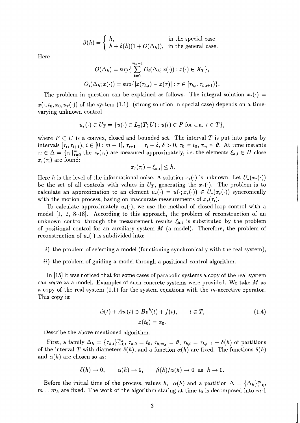$$
\beta(h) = \begin{cases} h, & \text{in the special case} \\ h + \delta(h)(1 + O(\Delta_h)), & \text{in the general case.} \end{cases}
$$

Here

$$
O(\Delta_h) = \sup \{ \sum_{i=0}^{m_h-1} O_i(\Delta_h; x(\cdot)) : x(\cdot) \in X_T \},
$$
  

$$
O_i(\Delta_h; x(\cdot)) = \sup \{ |x(\tau_{h,i}) - x(\tau)| : \tau \in [\tau_{h,i}, \tau_{h,i+1}) \}
$$

The problem in question can be explained as follows. The integral solution  $x_r(\cdot)$  =  $x(\cdot, t_0, x_0, u_r(\cdot))$  of the system (1.1) (strong solution in special case) depends on a timevarying unknown control

$$
u_r(\cdot) \in U_T = \{u(\cdot) \in L_2(T; U) : u(t) \in P \text{ for a.a. } t \in T\},\
$$

where  $P \subset U$  is a convex, closed and bounded set. The interval T is put into parts by intervals  $[\tau_i, \tau_{i+1}), i \in [0 : m-1], \tau_{i+1} = \tau_i + \delta, \delta > 0, \tau_0 = t_0, \tau_m = \vartheta$ . At time instants  $\tau_i \in \Delta = {\tau_i}_{i=0}^m$  the  $x_r(\tau_i)$  are measured approximately, i.e. the elements  $\xi_{h,i} \in H$  close  $x_r(\tau_i)$  are found:

$$
|x_r(\tau_i)-\xi_{h,i}|\leq h.
$$

Here h is the level of the informational noise. A solution  $x_r(\cdot)$  is unknown. Let  $U_*(x_r(\cdot))$ be the set of all controls with values in  $U_T$ , generating the  $x_r(\cdot)$ . The problem is to calculate an approximation to an element  $u_*(\cdot) = u(\cdot; x_r(\cdot)) \in U_*(x_r(\cdot))$  syncronically with the motion process, basing on inaccurate measurements of  $x_r(\tau_i)$ .

To calculate approximately  $u_*(\cdot)$ , we use the method of closed-loop control with a model [I, 2, 8-18]. According to this approach, the problem of reconstruction of an unknown control through the measurement results  $\xi_{h,i}$  is substituted by the problem of positional control for an auxiliary system  $M$  (a model). Therefore, the problem of reconstruction of  $u_*(\cdot)$  is subdivided into:

- i) the problem of selecting a model (functioning synchronically with the real system),
- ii) the problem of guiding a model through a positional control algorithm.

In [15] it was noticed that for some cases of parabolic systems a copy of the real system can serve as a model. Examples of such concrete systems were provided. We take M as a copy of the real system  $(1.1)$  for the system equations with the m-accretive operator. This copy is:

$$
\dot{w}(t) + Aw(t) \ni Bv^{h}(t) + f(t), \qquad t \in T,
$$
\n
$$
x(t_0) = x_0.
$$
\n(1.4)

Describe the above mentioned algorithm.

First, a family  $\Delta_h = \{\tau_{h,i}\}_{i=0}^{m_h}$ ,  $\tau_{h,0} = t_0$ ,  $\tau_{h,m_h} = \vartheta$ ,  $\tau_{h,i} = \tau_{h,i-1} - \delta(h)$  of partitions of the interval T with diameters  $\delta(h)$ , and a function  $\alpha(h)$  are fixed. The functions  $\delta(h)$ and  $\alpha(h)$  are chosen so as:

$$
\delta(h) \to 0, \qquad \alpha(h) \to 0, \qquad \beta(h)/\alpha(h) \to 0 \text{ as } h \to 0.
$$

Before the initial time of the process, values h,  $\alpha(h)$  and a partition  $\Delta = {\{\Delta_h\}}_{i=0}^m$ ,  $m = m_h$  are fixed. The work of the algorithm staring at time  $t_0$  is decomposed into m-1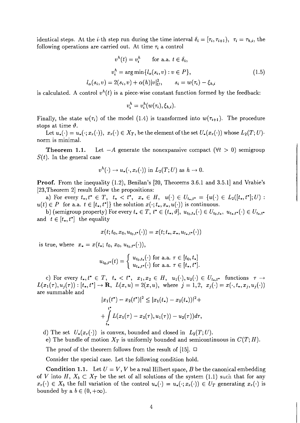identical steps. At the *i*-th step run during the time interval  $\delta_i = [\tau_i, \tau_{i+1}), \tau_i = \tau_{h,i}$ , the following operations are carried out. At time  $\tau_i$  a control

$$
v^{h}(t) = v_{i}^{h} \quad \text{for a.a. } t \in \delta_{i},
$$

$$
v_{i}^{h} = \arg\min \{ l_{\alpha}(s_{i}, v) : v \in P \},
$$

$$
l_{\alpha}(s_{i}, v) = 2(s_{i}, v) + \alpha(h)|v|_{U}^{2}, \quad s_{i} = w(\tau_{i}) - \xi_{h,i}
$$

$$
(1.5)
$$

is calculated. A control  $v^h(t)$  is a piece-wise constant function formed by the feedback:

$$
v_i^h = v_i^h(w(\tau_i), \xi_{h,i}).
$$

Finally, the state  $w(\tau_i)$  of the model (1.4) is transformed into  $w(\tau_{i+1})$ . The procedure stops at time  $\vartheta$ .

Let  $u_*(\cdot) = u_*(\cdot; x_r(\cdot)), x_r(\cdot) \in X_T$ , be the element of the set  $U_*(x_r(\cdot))$  whose  $L_2(T; U)$ norm is minimal.

**Theorem 1.1.** Let  $-A$  generate the nonexpansive compact  $(\forall t > 0)$  semigroup  $S(t)$ . In the general case

$$
v^h(\cdot) \to u_*(\cdot, x_r(\cdot))
$$
 in  $L_2(T; U)$  as  $h \to 0$ .

**Proof.** From the inequality (1.2), Benilan's [20, Theorems 3.6.1 and 3.5.1] and Vrabie's [23, Theorem 2] result follow the propositions:

a) For every  $t_*,t^* \in T$ ,  $t_* < t^*$ ,  $x_* \in H$ ,  $u(\cdot) \in U_{t_*,t^*} = \{u(\cdot) \in L_2([t_*,t^*];U):$  $u(t) \in P$  for a.a.  $t \in [t_*, t^*]$  the solution  $x(\cdot; t_*, x_*, u(\cdot))$  is continuous.

b) (semigroup property) For every  $t_* \in T$ ,  $t^* \in (t_*, \vartheta], u_{t_0,t_*}(\cdot) \in U_{t_0,t_*}, u_{t_*,t^*}(\cdot) \in U_{t_*,t^*}$ and  $t \in [t_*, t^*]$  the equality

$$
x(t; t_0, x_0, u_{t_0,t^*}(\cdot)) = x(t; t_*, x_*, u_{t_*,t^*}(\cdot))
$$

is true, where  $x_* = x(t_*; t_0, x_0, u_{t_0,t^*}(\cdot)),$ 

$$
u_{t_0,t^*}(t) = \begin{cases} u_{t_0,t_*}(\cdot) \text{ for a.a. } \tau \in [t_0,t_*] \\ u_{t_*,t^*}(\cdot) \text{ for a.a. } \tau \in [t_*,t^*]. \end{cases}
$$

c) For every  $t_*,t^* \in T$ ,  $t_* < t^*$ ,  $x_1,x_2 \in H$ ,  $u_1(\cdot),u_2(\cdot) \in U_{t_*,t^*}$  functions  $\tau \to$  $L(x_1(\tau),u_j(\tau)) : [t_*, t^*] \to \mathbf{R}, \ \ L(x,u) = 2(x,u), \ \ \text{where} \ \ j=1,2, \ \ x_j(\cdot) = x(\cdot, t_*, x_j, u_j(\cdot))$ are summable and

$$
|x_1(t^*) - x_2(t^*)|^2 \le |x_1(t_*) - x_2(t_*)|^2 +
$$
  
+ 
$$
\int_{t_*}^{t^*} L(x_1(\tau) - x_2(\tau), u_1(\tau)) - u_2(\tau))d\tau,
$$

d) The set  $U_*(x_r(\cdot))$  is convex, bounded and closed in  $L_2(T; U)$ .

e) The bundle of motion  $X_T$  is uniformly bounded and semicontinuous in  $C(T;H)$ .

The proof of the theorem follows from the result of [15].  $\Box$ 

Consider the special case. Let the following condition hold.

**Condition 1.1.** Let  $U = V$ , V be a real Hilbert space, B be the canonical embedding of V into H,  $X_b \subset X_T$  be the set of all solutions of the system (1.1) such that for any  $x_r(\cdot) \in X_b$  the full variation of the control  $u_*(\cdot) = u_*(\cdot; x_r(\cdot)) \in U_T$  generating  $x_r(\cdot)$  is bounded by a  $b \in (0, +\infty)$ .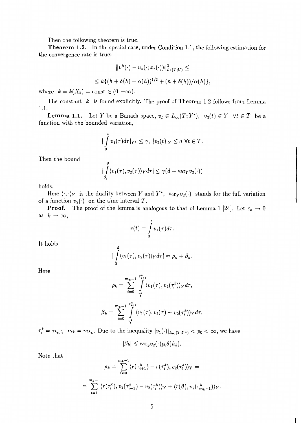Then the following theorem is true.

**Theorem 1.2.** In the special case, under Condition 1.1, the following estimation for the convergence rate is true:

$$
||v^{h}(\cdot) - u_{*}(\cdot; x_{r}(\cdot))||_{L_{2}(T;U)}^{2} \le
$$
  

$$
\leq k \{ (h + \delta(h) + \alpha(h))^{1/2} + (h + \delta(h))/\alpha(h) \},
$$

where  $k = k(X_b) = \text{const} \in (0, +\infty)$ .

The constant  $k$  is found explicitly. The proof of Theorem 1.2 follows from Lemma 1.1.

**Lemma 1.1.** Let Y be a Banach space,  $v_1 \in L_\infty(T; Y^*)$ ,  $v_2(t) \in Y \ \forall t \in T$  be a function with the bounded variation,

$$
\big|\int_{0}^{t} v_{1}(\tau)d\tau\big|_{Y^{*}}\leq \gamma,\ |v_{2}(t)|_{Y}\leq d\ \forall t\in T.
$$

Then the bound

$$
|\int_{0}^{\vartheta} \langle v_1(\tau), v_2(\tau) \rangle_Y d\tau| \leq \gamma(d + \text{var}_Y v_2(\cdot))
$$

holds.

Here  $\langle \cdot, \cdot \rangle_Y$  is the duality between Y and Y\*, vary  $v_2(\cdot)$  stands for the full variation of a function  $v_2(\cdot)$  on the time interval *T*.

**Proof.** The proof of the lemma is analogous to that of Lemma 1 [24]. Let  $\varepsilon_k \to 0$ as  $k\to\infty$ ,

$$
r(t)=\int\limits_0^t v_1(\tau)d\tau.
$$

It holds

$$
\big|\int\limits_{0}^{y}\langle v_1(\tau),v_2(\tau)\rangle_Yd\tau\big|=\rho_k+\beta_k.
$$

Here

$$
\rho_k = \sum_{i=0}^{m_k-1} \int_{\tau_i^k}^{\tau_{i+1}^k} \langle v_1(\tau), v_2(\tau_i^k) \rangle_Y d\tau,
$$
  

$$
\beta_k = \sum_{i=0}^{m_k-1} \int_{\tau_i^k}^{\tau_{i+1}^k} \langle v_1(\tau), v_2(\tau) - v_2(\tau_i^k) \rangle_Y d\tau,
$$

 $\tau_i^k = \tau_{h_k,i}, m_k = m_{h_k}.$  Due to the inequality  $|v_1(\cdot)|_{L_\infty(T;Y^*)} < p_0 < \infty$ , we have

$$
|\beta_k| \leq \text{var}_y v_2(\cdot) p_0 \delta(h_k).
$$

Note that

$$
\rho_k = \sum_{i=0}^{m_k-1} \langle r(\tau_{i+1}^k) - r(\tau_i^k), v_2(\tau_i^k) \rangle_Y =
$$
  
= 
$$
\sum_{i=1}^{m_k-1} \langle r(\tau_i^k), v_2(\tau_{i-1}^k) - v_2(\tau_i^k) \rangle_Y + \langle r(\vartheta), v_2(\tau_{m_k-1}^k) \rangle_Y.
$$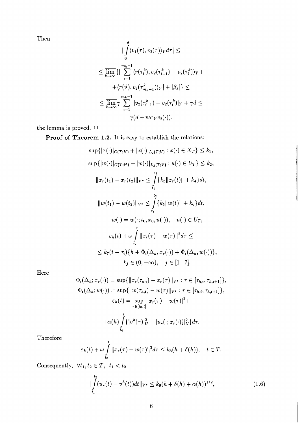Then

$$
\left|\int_{0}^{\vartheta} \langle v_{1}(\tau), v_{2}(\tau) \rangle_{Y} d\tau\right| \leq
$$
  

$$
\leq \overline{\lim}_{k \to \infty} \left\{\left|\sum_{i=1}^{m_{k}-1} \langle r(\tau_{i}^{k}), v_{2}(\tau_{i-1}^{k}) - v_{2}(\tau_{i}^{k}) \rangle_{Y} + \right.\right.
$$

$$
\left. + \langle r(\vartheta), v_{2}(\tau_{m_{k}-1}^{k}) \rangle_{Y}\right| + |\beta_{k}|\right\} \leq
$$

$$
\leq \overline{\lim}_{k \to \infty} \gamma \sum_{i=1}^{m_{k}-1} |v_{2}(\tau_{i-1}^{k}) - v_{2}(\tau_{i}^{k})|_{Y} + \gamma d \leq
$$

$$
\gamma(d + \text{var}_{Y}v_{2}(\cdot)).
$$

the lemma is proved.  $\Box$ 

Proof of Theorem 1.2. It is easy to establish the relations:

$$
\sup\{|x(\cdot)|_{C(T;H)} + |x(\cdot)|_{L_2(T;V)} : x(\cdot) \in X_T\} \le k_1,
$$
  
\n
$$
\sup\{|w(\cdot)|_{C(T;H)} + |w(\cdot)|_{L_2(T;V)} : u(\cdot) \in U_T\} \le k_2,
$$
  
\n
$$
||x_r(t_1) - x_r(t_2)||_{V^*} \le \int_{t_1}^{t_2} \{k_3||x_r(t)|| + k_4\}dt,
$$
  
\n
$$
||w(t_1) - w(t_2)||_{V^*} \le \int_{t_1}^{t_2} \{k_5||w(t)|| + k_6\}dt,
$$
  
\n
$$
w(\cdot) = w(\cdot; t_0, x_0, u(\cdot)), \quad u(\cdot) \in U_T,
$$
  
\n
$$
\varepsilon_h(t) + \omega \int_{\tau_i}^t ||x_r(\tau) - w(\tau)||^2 d\tau \le
$$
  
\n
$$
\le k_7(t - \tau_i)\{h + \Phi_i(\Delta_h, x_r(\cdot)) + \Phi_i(\Delta_h, w(\cdot))\},
$$
  
\n
$$
k_j \in (0, +\infty), \quad j \in [1:7].
$$

Here

$$
\Phi_i(\Delta_h; x_r(\cdot)) = \sup \{ ||x_r(\tau_{h,i}) - x_r(\tau)||_{V^*}: \tau \in [\tau_{h,i}, \tau_{h,i+1}]\},
$$
  
\n
$$
\Phi_i(\Delta_h; w(\cdot)) = \sup \{ ||w(\tau_{h,i}) - w(\tau)||_{V^*}: \tau \in [\tau_{h,i}, \tau_{h,i+1}]\},
$$
  
\n
$$
\varepsilon_h(t) = \sup_{\tau \in [t_0, t]} |x_r(\tau) - w(\tau)|^2 +
$$
  
\n
$$
+ \alpha(h) \int_{t_0}^t \{ |v^h(\tau)|_U^2 - |u_*(\cdot; x_r(\cdot))|_U^2 \} d\tau.
$$

Therefore

$$
\varepsilon_h(t)+\omega\int\limits_{t_0}^t\|x_r(\tau)-w(\tau)\|^2d\tau\leq k_8(h+\delta(h)),\quad t\in T.
$$

Consequently,  $\forall t_1, t_2 \in T$ ,  $t_1 < t_2$ 

$$
\|\int_{t_1}^{t_2} (u_*(t) - v^h(t))dt\|_{V^*} \le k_9(h + \delta(h) + \alpha(h))^{1/2},\tag{1.6}
$$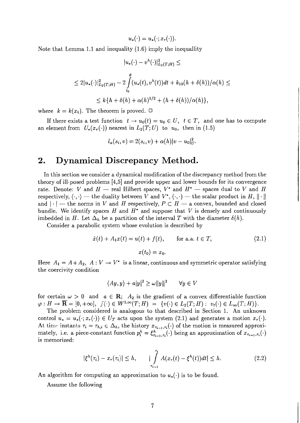$u_*(\cdot) = u_*(\cdot; x_r(\cdot)).$ 

Note that Lemma 1.1 and inequality (1.6) imply the inequallity

$$
|u_{*}(\cdot) - v^{h}(\cdot)|_{L_{2}(T;H)}^{2} \leq
$$
  
\n
$$
\leq 2|u_{*}(\cdot)|_{L_{2}(T;H)}^{2} - 2\int_{t_{0}}^{t} (u_{*}(t), v^{h}(t))dt + k_{10}(h + \delta(h))/\alpha(h) \leq
$$
  
\n
$$
\leq k\{h + \delta(h) + \alpha(h)^{1/2} + (h + \delta(h))/\alpha(h)\},
$$

where  $k = k(x_b)$ . The theorem is proved.  $\Box$ 

If there exists a test function  $t \to u_0(t) = u_0 \in U$ ,  $t \in T$ , and one has to compute an element from  $U_*(x_r(\cdot))$  nearest in  $L_2(T; U)$  to  $u_0$ , then in (1.5)

$$
l_{\alpha}(s_i, v) = 2(s_i, v) + \alpha(h)|v - u_0|_U^2.
$$

## **2. Dynamical Discrepancy Method.**

In this section we consider a dynamical modification of the discrepancy method from the theory of ill-posed problems [4,5] and provide upper and lower bounds for its convergence rate. Denote: V and  $H$  - real Hilbert spaces,  $V^*$  and  $H^*$  - spaces dual to V and H theory of ill-posed problems [4,0] and provide upper and lower bounds for its convergence<br>rate. Denote: V and  $H$  — real Hilbert spaces,  $V^*$  and  $H^*$  — spaces dual to V and H<br>respectively,  $\langle \cdot, \cdot \rangle$  — the duality bet rate. Denote:  $V$  and  $H$  - real rifudent spaces,  $V$  and  $H$  - spaces dual to  $V$  and  $H$  respectively,  $\langle \cdot, \cdot \rangle$  - the duality between  $V$  and  $V^*$ ,  $(\cdot, \cdot)$  - the scalar product in  $H$ ,  $\|\cdot\|$  and  $|\cdot|$  - the norms bundle. We identify spaces H and  $H^*$  and suppose that V is densely and continuously imbedded in H. Let  $\Delta_h$  be a partition of the interval T with the diameter  $\delta(h)$ .

Consider a parabolic system whose evolution is described by

$$
\dot{x}(t) + A_1 x(t) = u(t) + f(t), \qquad \text{for a.a. } t \in T,
$$
\n
$$
x(t_0) = x_0.
$$
\n(2.1)

Here  $A_1 = A + A_2$ ,  $A: V \to V^*$  is a linear, continuous and symmetric operator satisfying the coercivity condition

$$
\langle Ay, y \rangle + a|y|^2 \ge \omega ||y||^2 \qquad \forall y \in V
$$

for certain  $\omega > 0$  and  $a \in \mathbb{R}$ ;  $A_2$  is the gradient of a convex differentiable function  $\varphi : H \to \overline{\mathbf{R}} = [0, +\infty], \ \ j(\cdot) \in W^{1,\infty}(T; H) = \{v(\cdot) \in L_2(T; H) : \ v_t(\cdot) \in L_\infty(T; H)\}.$ 

The problem considered is analogous to that described in Section 1. An unknown control  $u_* = u_*(\cdot; x_r(\cdot)) \in U_T$  acts upon the system (2.1) and generates a motion  $x_r(\cdot)$ . At time instants  $\tau_i = \tau_{h,i} \in \Delta_h$ , the history  $x_{\tau_{i-1},\tau_i}(\cdot)$  of the motion is measured approximately, i.e. a piece-constant function  $p_i^h = \xi_{\tau_{i-1}, \tau_i}^h(\cdot)$  being an approximation of  $x_{\tau_{i-1}, \tau_i}(\cdot)$ is memorized:

$$
|\xi^{h}(\tau_{i}) - x_{\tau}(\tau_{i})| \leq h, \qquad \int_{\tau_{i-1}}^{\tau_{i}} A(x_{\tau}(t) - \xi^{h}(t))dt| \leq h. \tag{2.2}
$$

An algorithm for computing an approximation to  $u_*(\cdot)$  is to be found.

Assume the following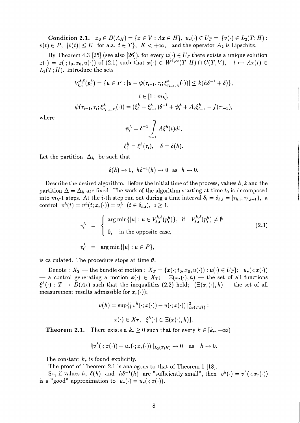Condition 2.1.  $x_0 \in D(A_H) = \{x \in V : Ax \in H\}, u_*(\cdot) \in U_T = \{v(\cdot) \in L_2(T;H):$  $v(t) \in P$ ,  $|\dot{v}(t)| \leq K$  for a.a.  $t \in T$ ,  $K < +\infty$ , and the operator  $A_2$  is Lipschitz.

By Theorem 4.3 [25] (see also [26]), for every  $u(\cdot) \in U_T$  there exists a unique solution  $x(\cdot) = x(\cdot; t_0, x_0, u(\cdot))$  of (2.1) such that  $x(\cdot) \in W^{1,\infty}(T; H) \cap C(T; V), \quad t \mapsto Ax(t) \in$  $L_2(T; H)$ . Introduce the sets

$$
V_{k,i}^{h,\delta}(p_i^h) = \{ u \in P : |u - \psi(\tau_{i-1}, \tau_i; \xi_{\tau_{i-1}, \tau_i}^h(\cdot))| \le k(h\delta^{-1} + \delta) \},
$$
  

$$
i \in [1 : m_h],
$$
  

$$
\psi(\tau_{i-1}, \tau_i; \xi_{\tau_{i-1}, \tau_i}^h(\cdot)) = (\xi_i^h - \xi_{i-1}^h)\delta^{-1} + \psi_i^h + A_2 \xi_{i-1}^h - f(\tau_{i-1}),
$$

where

$$
\psi_i^h = \delta^{-1} \int_{\tau_{i-1}}^{\tau_i} A \xi^h(t) dt,
$$
  

$$
\xi_i^h = \xi^h(\tau_i), \quad \delta = \delta(h).
$$

Let the partition  $\Delta_h$  be such that

$$
\delta(h) \to 0, \ h\delta^{-1}(h) \to 0 \text{ as } h \to 0.
$$

Describe the desired algorithm. Before the initial time of the process, values  $h, k$  and the partition  $\Delta = \Delta_h$  are fixed. The work of the algorithm starting at time  $t_0$  is decomposed into  $m_h$ -1 steps. At the *i*-th step run out during a time interval  $\delta_i = \delta_{h,i} = [\tau_{h,i}, \tau_{h,i+1}),$  a control  $v^h(t) = v^h(t; x_r(\cdot)) = v_i^h$   $(t \in \delta_{h,i}), i \geq 1$ ,

$$
v_i^h = \begin{cases} \arg \min\{|u| : u \in V_{k,i}^{h,\delta}(p_i^h)\}, & \text{if} \quad V_{k,i}^{h,\delta}(p_i^h) \neq \emptyset \\ 0, & \text{in the opposite case,} \end{cases}
$$
 (2.3)

 $v_0^h = \arg \min \{|u| : u \in P\},\$ 

is calculated. The procedure stops at time  $\vartheta$ .

Denote :  $X_T$  — the bundle of motion :  $X_T = \{x(\cdot; t_0, x_0, u(\cdot)) : u(\cdot) \in U_T\}; u_*(\cdot; x(\cdot))$ Denote:  $X_T$  — the bundle of motion :  $X_T = \{x(\cdot; t_0, x_0, u(\cdot)) : u(\cdot) \in U_T\}; u_*(\cdot; x(\cdot))$ <br>
— a control generating a motion  $x(\cdot) \in X_T$ ;  $\Xi(x_r(\cdot), h)$  — the set of all functions Denote:  $X_T$  -- the bundle of motion:  $X_T = \{x(\cdot; t_0, x_0, u(\cdot)) : u(\cdot) \in U_T\}$ ;  $u_*(\cdot; x(\cdot))$ <br>
-- a control generating a motion  $x(\cdot) \in X_T$ ;  $\Xi(x_r(\cdot), h)$  -- the set of all functions  $\xi^h(\cdot) : T \to D(A_h)$  such that the inequalities (2. measurement results admissible for  $x_r(\cdot)$ ;

$$
\nu(h) = \sup \{ \left\| \nu^h(\cdot; x(\cdot)) - u(\cdot; x(\cdot)) \right\|_{L_2(T;H)}^2 : x(\cdot) \in X_T, \ \xi^h(\cdot) \in \Xi(x(\cdot), h) \}.
$$

**Theorem 2.1.** There exists a  $k_* \geq 0$  such that for every  $k \in [k_*, +\infty)$ 

$$
||v^h(\cdot; x(\cdot)) - u_*(\cdot; x_r(\cdot))||_{L_2(T;H)} \to 0 \quad \text{as} \quad h \to 0.
$$

The constant  $k_{\ast}$  is found explicitly.

The proof of Theorem 2.1 is analogous to that of Theorem 1 [18].

So, if values h,  $\delta(h)$  and  $h\delta^{-1}(h)$  are "sufficiently small", then  $v^h(\cdot) = v^h(\cdot; x_r(\cdot))$ is a "good" approximation to  $u_*(\cdot) = u_*(\cdot; x(\cdot)).$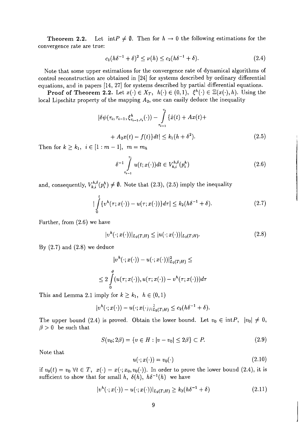**Theorem 2.2.** Let  $int P \neq \emptyset$ . Then for  $h \to 0$  the following estimations for the convergence rate are true:

$$
c_1(h\delta^{-1} + \delta)^2 \le \nu(h) \le c_2(h\delta^{-1} + \delta).
$$
 (2.4)

Note that some upper estimations for the convergence rate of dynamical algorithms of control reconstruction are obtained in [24] for systems described by ordinary differential equations, and in papers [14, 27] for systems described by partial differential equations.

**Proof of Theorem 2.2.** Let  $x(\cdot) \in X_T$ ,  $h(\cdot) \in (0,1)$ ,  $\xi^h(\cdot) \in \Xi(x(\cdot), h)$ . Using the local Lipschitz property of the mapping  $A_2$ , one can easily deduce the inequality

$$
|\delta\psi(\tau_i, \tau_{i-1}, \xi^h_{\tau_{i-1}, \tau_i}(\cdot)) - \int\limits_{\tau_{i-1}}^{\tau_i} {\{\dot{x}(t) + Ax(t) + A x(t) + A_2 x(t) - f(t)\} dt} \le k_1 (h + \delta^2). \tag{2.5}
$$

Then for  $k \geq k_1, i \in [1 : m - 1], m = m_h$ 

$$
\delta^{-1} \int\limits_{\tau_{i-1}}^{\tau_i} u(t; x(\cdot)) dt \in V_{k,i}^{h,\delta}(p_i^h)
$$
 (2.6)

and, consequently,  $V_{k,i}^{h,\delta}(p_i^h) \neq \emptyset$ . Note that (2.3), (2.5) imply the inequality

$$
|\int_{0}^{t} \{v^{h}(\tau; x(\cdot)) - u(\tau; x(\cdot))\} d\tau| \leq k_2 (h\delta^{-1} + \delta). \tag{2.7}
$$

Further, from (2.6) we have

$$
|v^h(\cdot;x(\cdot))|_{L_2(T;H)} \leq |u(\cdot;x(\cdot))|_{L_2(T;H)}.\tag{2.8}
$$

By  $(2.7)$  and  $(2.8)$  we deduce

$$
\begin{aligned} &|v^h(\cdot;x(\cdot))-u(\cdot;x(\cdot))|^2_{L_2(T;H)}\leq\\ &\leq 2\int\limits_0^{\vartheta}(u(\tau;x(\cdot)),u(\tau;x(\cdot))-v^h(\tau;x(\cdot)))d\tau \end{aligned}
$$

This and Lemma 2.1 imply for  $k \geq k_1$ ,  $h \in (0,1)$ .

$$
|v^h(\cdot;x(\cdot))-u(\cdot;x(\cdot))|_{L_2(T;H)}^2\leq c_2(h\delta^{-1}+\delta).
$$

The upper bound (2.4) is proved. Obtain the lower bound. Let  $v_0 \in \text{int}P$ ,  $|v_0| \neq 0$ ,  $\beta > 0$  be such that

$$
S(v_0; 2\beta) = \{v \in H : |v - v_0| \le 2\beta\} \subset P. \tag{2.9}
$$

Note that

$$
u(\cdot; x(\cdot)) = v_0(\cdot) \tag{2.10}
$$

if  $v_0(t) = v_0 \ \forall t \in T$ ,  $x(\cdot) = x(\cdot; x_0, v_0(\cdot))$ . In order to prove the lower bound (2.4), it is sufficient to show that for small h,  $\delta(h)$ ,  $h\delta^{-1}(h)$  we have

$$
|v^{h}(\cdot; x(\cdot)) - u(\cdot; x(\cdot))|_{L_{2}(T;H)} \geq k_{3}(h\delta^{-1} + \delta)
$$
\n(2.11)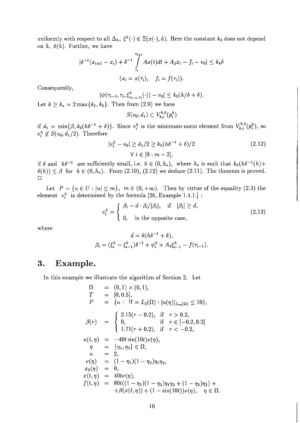uniformly with respect to all  $\Delta_h$ ,  $\xi^h(\cdot) \in \Xi(x(\cdot), h)$ . Here the constant  $k_3$  does not depend on  $h$ ,  $\delta(h)$ . Further, we have

$$
|\delta^{-1}(x_{i+1} - x_i) + \delta^{-1} \int_{\tau_i}^{\tau_{i+1}} Ax(t)dt + A_2x_i - f_i - v_0| \le k_4 \delta
$$
  

$$
(x_i = x(\tau_i), \quad f_i = f(\tau_i)).
$$

Consequently,

$$
|\psi(\tau_{i-1},\tau_i,\xi^h_{\tau_{i-1},\tau_i}(\cdot))-v_0|\leq k_5(h/\delta+\delta).
$$

Let  $k \ge k_* = 2 \max\{k_1, k_5\}$ . Then from (2.9) we have

$$
S(v_0;d_1) \subset V^{h,\delta}_{k,i}(p_i^h)
$$

if  $d_1 = \min{\beta, k_5(h\delta^{-1} + \delta)}$ . Since  $v_i^h$  is the minimum-norm element from  $V_{k,i}^{h,\delta}(p_i^h)$ , so  $v_i^h \notin S(v_0; d_1/2)$ . Therefore

$$
|v_i^h - v_0| \ge d_1/2 \ge k_5 (h\delta^{-1} + \delta)/2
$$
  
\n
$$
\forall i \in [0 : m - 2],
$$
\n(2.12)

if  $\delta$  and  $h\delta^{-1}$  are sufficiently small, i.e.  $h \in (0, h_*)$ , where  $h_*$  is such that  $k_5(h\delta^{-1}(h)+$  $\delta(h) \leq \beta$  for  $h \in (0, h_*)$ . From (2.10), (2.12) we deduce (2.11). The theorem is proved.  $\square$ 

Let  $P = \{u \in U : |u| \le m\}, m \in (0, +\infty)$ . Then by virtue of the equality (2.3) the element  $v_i^h$  is determined by the formula [28, Example 1.4.1.] :

$$
v_i^h = \begin{cases} \beta_i - d \cdot \beta_i / |\beta_i|, & \text{if } |\beta_i| \ge d, \\ 0, & \text{in the opposite case,} \end{cases}
$$
 (2.13)

where

$$
d = k(h\delta^{-1} + \delta),
$$
  

$$
\beta_i = (\xi_i^h - \xi_{i-1}^h)\delta^{-1} + \psi_i^h + A_2\xi_{i-1}^h - f(\tau_{i-1}).
$$

## **3. Example.**

In this example we illustrate the algorithm of Section 2. Let

$$
\Omega = (0,1) \times (0,1),
$$
\n
$$
T = [0,0.5],
$$
\n
$$
P = \{u \in H = L_2(\Omega) : |u(\eta)|_{L_{\infty}(\Omega)} \le 10\},
$$
\n
$$
\beta(r) = \begin{cases}\n2.15(r - 0.2), & \text{if } r > 0.2, \\
0, & \text{if } r \in [-0.2, 0.2] \\
1.71(r + 0.2), & \text{if } r < -0.2,\n\end{cases}
$$
\n
$$
u(t, \eta) = -40t \sin(10t)\nu(\eta),
$$
\n
$$
\eta = \{\eta_1, \eta_2\} \in \Omega,
$$
\n
$$
n = 2,
$$
\n
$$
\nu(\eta) = (1 - \eta_1)(1 - \eta_2)\eta_1\eta_2,
$$
\n
$$
x_0(\eta) = 0,
$$
\n
$$
x(t, \eta) = 40t\nu(\eta),
$$
\n
$$
f(t, \eta) = 80t((1 - \eta_1)(1 - \eta_2)\eta_1\eta_2 + (1 - \eta_2)\eta_2) +
$$
\n
$$
+ \beta(x(t, \eta)) + (1 - \sin(10t))\nu(\eta), \quad \eta \in \Omega.
$$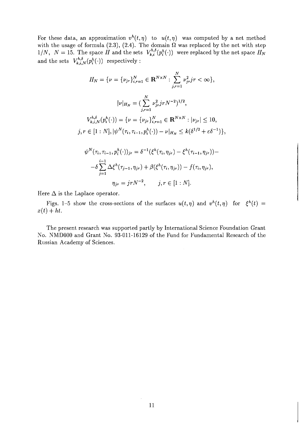For these data, an approximation  $v^h(t, \eta)$  to  $u(t, \eta)$  was computed by a net method with the usage of formula (2.3), (2.4). The domain  $\Omega$  was replaced by the net with step  $1/N$ ,  $N = 15$ . The space *H* and the sets  $V_{k,i}^{h,\delta}(p_i^h(\cdot))$  were replaced by the net space  $H_N$ and the sets  $V_{k,i,N}^{h,\delta}(p_i^h(\cdot))$  respectively :

$$
H_N = \{ \nu = \{ \nu_{jr} \}_{i,r=1}^N \in \mathbf{R}^{N \times N} : \sum_{j,r=1}^N \nu_{jr}^2 jr < \infty \},
$$
\n
$$
|\nu|_{H_N} = \left( \sum_{j,r=1}^N \nu_{jr}^2 jr N^{-2} \right)^{1/2},
$$
\n
$$
V_{k,i,N}^{h,\delta}(p_i^h(\cdot)) = \{ \nu = \{ \nu_{jr} \}_{i,r=1}^N \in \mathbf{R}^{N \times N} : |\nu_{jr}| \le 10,
$$
\n
$$
j, r \in [1:N], |\psi^N(\tau_i, \tau_{i-1}, p_i^h(\cdot)) - \nu|_{H_N} \le k(\delta^{1/2} + \varepsilon \delta^{-1}) \},
$$
\n
$$
\psi^N(\tau_i, \tau_{i-1}, p_i^h(\cdot))_{jr} = \delta^{-1}(\xi^h(\tau_i, \eta_{jr}) - \xi^h(\tau_{i-1}, \eta_{jr})) - \delta \sum_{j=1}^{i-1} \Delta \xi^h(\tau_{j-1}, \eta_{jr}) + \beta(\xi^h(\tau_i, \eta_{jr})) - f(\tau_i, \eta_{jr}),
$$
\n
$$
\eta_{jr} = jr N^{-2}, \qquad j, r \in [1:N].
$$

Here  $\Delta$  is the Laplace operator.

Figs. 1-5 show the cross-sections of the surfaces  $u(t, \eta)$  and  $v^h(t, \eta)$  for  $\xi^h(t) =$  $x(t) + ht.$ 

The present research was supported partly by International Science Foundation Grant No. NMDOOO and Grant No. *93-011-16129* of the Fund for Fundamental Research of the Russian Academy of Sciences.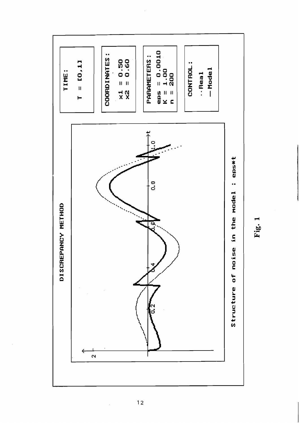

Fig. 1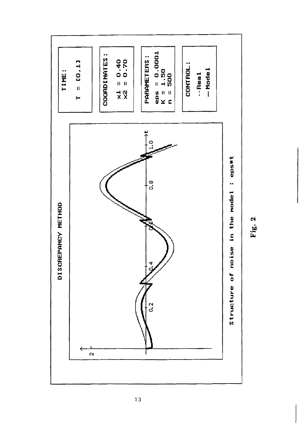

![](_page_14_Figure_1.jpeg)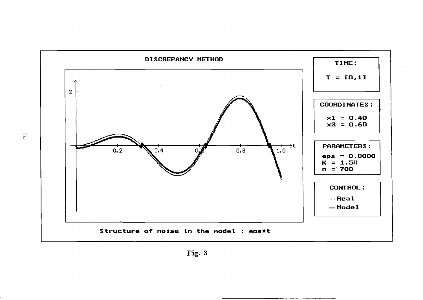![](_page_15_Figure_0.jpeg)

![](_page_15_Figure_1.jpeg)

 $\overline{1}$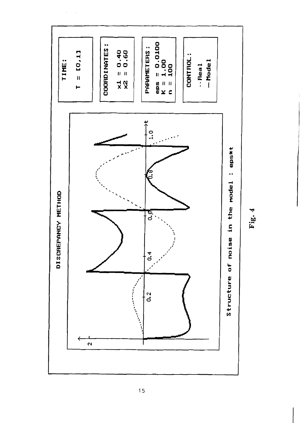![](_page_16_Figure_0.jpeg)

 $Fig. 4$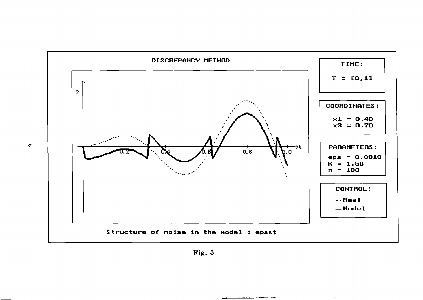![](_page_17_Figure_0.jpeg)

![](_page_17_Figure_1.jpeg)

 $\vec{5}$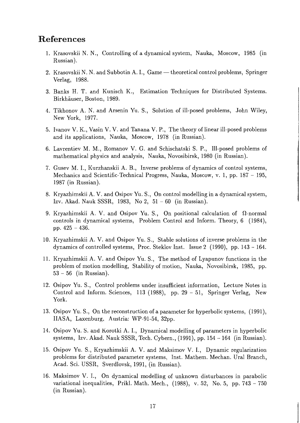#### **References**

- 1. Krasovskii N. N., Controlling of a dynamical system, Nauka, Moscow, 1985 (in Russian).
- 2. Krasovskii N. N. and Subbotin A. I., Game theoretical control problems, Springer Verlag, 1988.
- 3. Banks H. T. and Kunisch K., Estimation Techniques for Distributed Systems. Birkhauser, Boston, 1989.
- 4. Tikhonov A. N. and Arsenin Yu. S., Solution of ill-posed problems, John Wiley, New York, 1977.
- 5. Ivanov V. K., Vasin V. V. and Tanana V. P., The theory of linear ill-posed problems and its applications, Nauka, Moscow, 1978 (in Russian).
- 6. Lavrentiev M. M., Romanov V. G. and Schischatski S. P., Ill-posed problems of mathematical physics and analysis, Nauka, Novosibirsk, 1980 (in Russian).
- 7. Gusev M. I., Kurzhanskii A. B., Inverse problems of dynamics of control systems, Mechanics and Scientific-Technical Progress, Nauka, Moscow, v. 1, pp. 187 - 195, 1987 (in Russian).
- 8. Kryazhimskii A. V. and Osipov Yu. S., On control modelling in a dynamical system, Izv. Akad. Nauk SSSR, 1983, No 2, 51 - 60 (in Russian).
- 9. Kryazhimskii A. V. and Osipov Yu. S., On positional calculation of  $\Omega$ -normal controls in dynamical systems, Problem Control and Inform. Theory, 6 (1984), pp. 425 - 436.
- 10. Kryazhimskii A. V. and Osipov Yu. S., Stable solutions of inverse problems in the dynamics of controlled systems, Proc. Steklov Inst. Issue 2 (1990), pp. 143 - 164.
- 11. Kryazhimskii A. V. and Osipov Yu. S., The method of Lyapunov functions in the problem of motion modelling, Stability of motion, Nauka, Novosibirsk, 1985, pp.  $53 - 56$  (in Russian).
- 12. Osipov Yu. S., Control problems under insufficient information, Lecture Notes in Control and Inform. Sciences, 113 (1988), pp. 29 - 51, Springer Verlag, New York.
- 13. Osipov Yu. S., On the reconstruction of a parameter for hyperbolic systems, (1991), IIASA, Laxenburg, Anstria: WP-91-54, 32pp.
- 14. Osipov Yu. S. and Korotki A. I., Dynamical modelling of parameters in hyperbolic systems, Izv. Akad. Nauk SSSR, Tech. Cybern., (1991), pp. 154 - 164 (in Russian).
- 15. Osipov Yu. S., Kryazhimskii A. V. and Maksimov V. I., Dynamic regularization problems for distributed parameter systems, Inst. Mathem. Mechan. Ural Branch, Acad. Sci. USSR, Sverdlovsk, 1991, (in Russian).
- 16. Maksimov V. I., On dynamical modelling of unknown disturbances in parabolic variational inequalities, Prikl. Math. Mech.,  $(1988)$ , v. 52, No. 5, pp. 743 - 750 (in Russian).